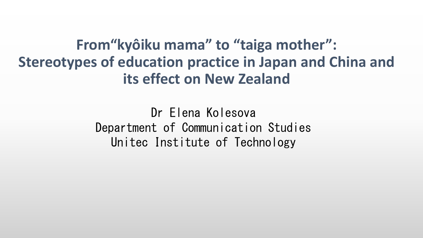From" kyôiku mama" to "taiga mother": **Stereotypes of education practice in Japan and China and** its effect on New Zealand

> Dr Elena Kolesova Department of Communication Studies Unitec Institute of Technology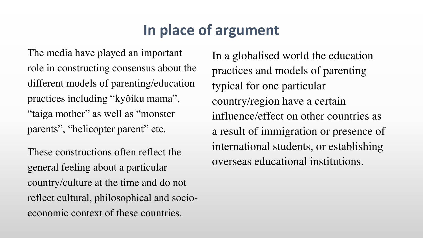# **In place of argument**

The media have played an important role in constructing consensus about the different models of parenting/education practices including "kyôiku mama", "taiga mother" as well as "monster parents", "helicopter parent" etc.

These constructions often reflect the general feeling about a particular country/culture at the time and do not reflect cultural, philosophical and socioeconomic context of these countries.

In a globalised world the education practices and models of parenting typical for one particular country/region have a certain influence/effect on other countries as a result of immigration or presence of international students, or establishing overseas educational institutions.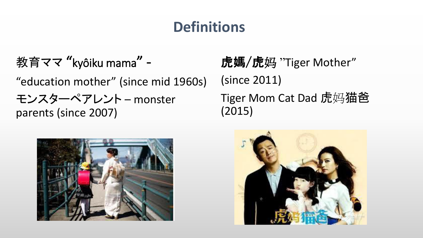# **Definitions**

教育ママ "kyôiku mama" -"education mother" (since mid 1960s) モンスターペアレント – monster parents (since 2007)

虎媽/虎妈 "Tiger Mother" (since 2011) Tiger Mom Cat Dad 虎妈猫爸 (2015)



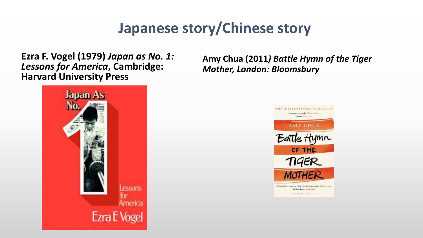### **Japanese story/Chinese story**

**Ezra F. Vogel (1979)** *Japan as No. 1: Lessons for America***, Cambridge: Harvard University Press** 



**Amy Chua (2011***) Battle Hymn of the Tiger Mother, London: Bloomsbury* 

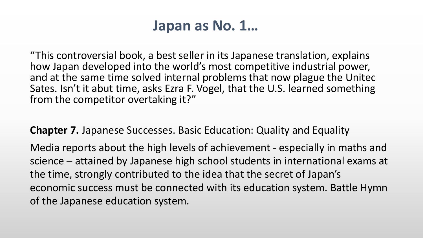#### Japan as No. 1...

"This controversial book, a best seller in its Japanese translation, explains how Japan developed into the world's most competitive industrial power, and at the same time solved internal problems that now plague the United Sates. Isn't it abut time, asks Ezra F. Vogel, that the U.S. learned something from the competitor overtaking it?"

**Chapter 7.** Japanese Successes. Basic Education: Quality and Equality

Media reports about the high levels of achievement - especially in maths and science – attained by Japanese high school students in international exams at the time, strongly contributed to the idea that the secret of Japan's economic success must be connected with its education system. Battle Hymn of the Japanese education system.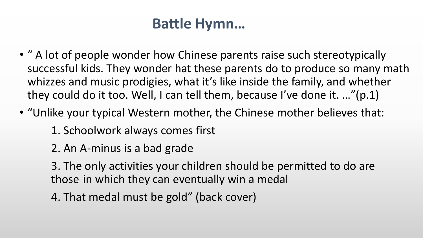### **Battle Hymn...**

- " A lot of people wonder how Chinese parents raise such stereotypically successful kids. They wonder hat these parents do to produce so many math whizzes and music prodigies, what it's like inside the family, and whether they could do it too. Well, I can tell them, because I've done it. ..."(p.1)
- "Unlike your typical Western mother, the Chinese mother believes that:
	- 1. Schoolwork always comes first
	- 2. An A-minus is a bad grade
	- 3. The only activities your children should be permitted to do are those in which they can eventually win a medal
	- 4. That medal must be gold" (back cover)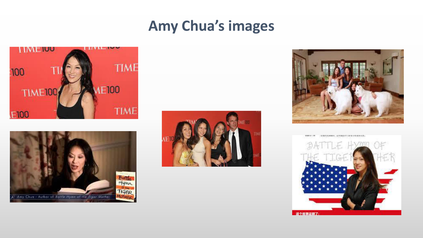### **Amy Chua's images**









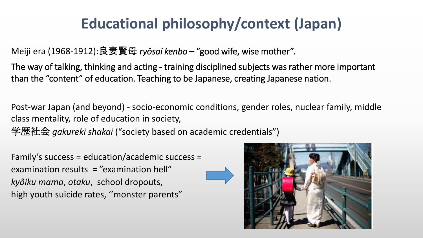# **Educational philosophy/context (Japan)**

Meiji era (1968-1912):良妻賢母 ryôsai kenbo - "good wife, wise mother".

The way of talking, thinking and acting - training disciplined subjects was rather more important than the "content" of education. Teaching to be Japanese, creating Japanese nation.

Post-war Japan (and beyond) - socio-economic conditions, gender roles, nuclear family, middle class mentality, role of education in society,

学歴社会 gakureki shakai ("society based on academic credentials")

Family's success = education/academic success = examination results  $=$  "examination hell" kyôiku mama, otaku, school dropouts, high youth suicide rates, "monster parents"

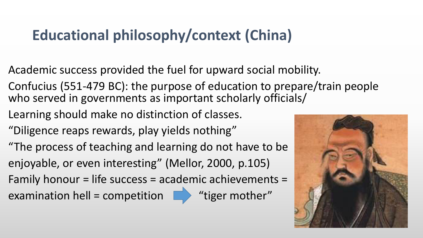# **Educational philosophy/context (China)**

- Academic success provided the fuel for upward social mobility.
- Confucius (551-479 BC): the purpose of education to prepare/train people who served in governments as important scholarly officials/
- Learning should make no distinction of classes.
- "Diligence reaps rewards, play yields nothing"
- "The process of teaching and learning do not have to be enjoyable, or even interesting" (Mellor, 2000, p.105)
- Family honour = life success = academic achievements =

examination hell = competition  $\square$ 



"tiger mother"

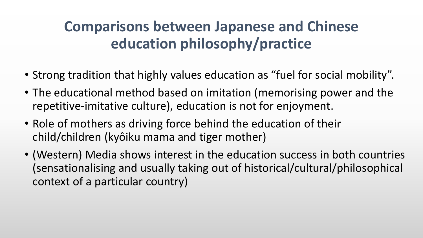## **Comparisons between Japanese and Chinese** education philosophy/practice

- Strong tradition that highly values education as "fuel for social mobility".
- The educational method based on imitation (memorising power and the repetitive-imitative culture), education is not for enjoyment.
- Role of mothers as driving force behind the education of their child/children (kyôiku mama and tiger mother)
- (Western) Media shows interest in the education success in both countries (sensationalising and usually taking out of historical/cultural/philosophical context of a particular country)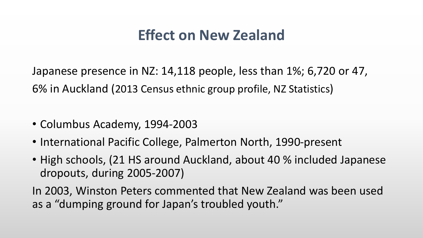### **Effect on New Zealand**

Japanese presence in NZ: 14,118 people, less than 1%; 6,720 or 47, 6% in Auckland (2013 Census ethnic group profile, NZ Statistics)

- Columbus Academy, 1994-2003
- International Pacific College, Palmerton North, 1990-present
- High schools, (21 HS around Auckland, about 40 % included Japanese dropouts, during 2005-2007)

In 2003, Winston Peters commented that New Zealand was been used as a "dumping ground for Japan's troubled youth."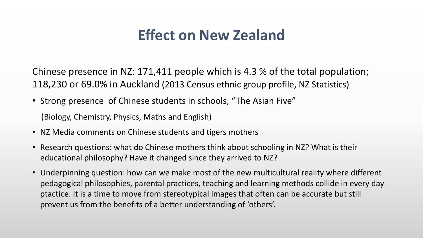### **Effect on New Zealand**

Chinese presence in NZ: 171,411 people which is 4.3 % of the total population; 118,230 or 69.0% in Auckland (2013 Census ethnic group profile, NZ Statistics)

• Strong presence of Chinese students in schools, "The Asian Five"

(Biology, Chemistry, Physics, Maths and English)

- NZ Media comments on Chinese students and tigers mothers
- Research questions: what do Chinese mothers think about schooling in NZ? What is their educational philosophy? Have it changed since they arrived to NZ?
- Underpinning question: how can we make most of the new multicultural reality where different pedagogical philosophies, parental practices, teaching and learning methods collide in every day ptactice. It is a time to move from stereotypical images that often can be accurate but still prevent us from the benefits of a better understanding of 'others'.